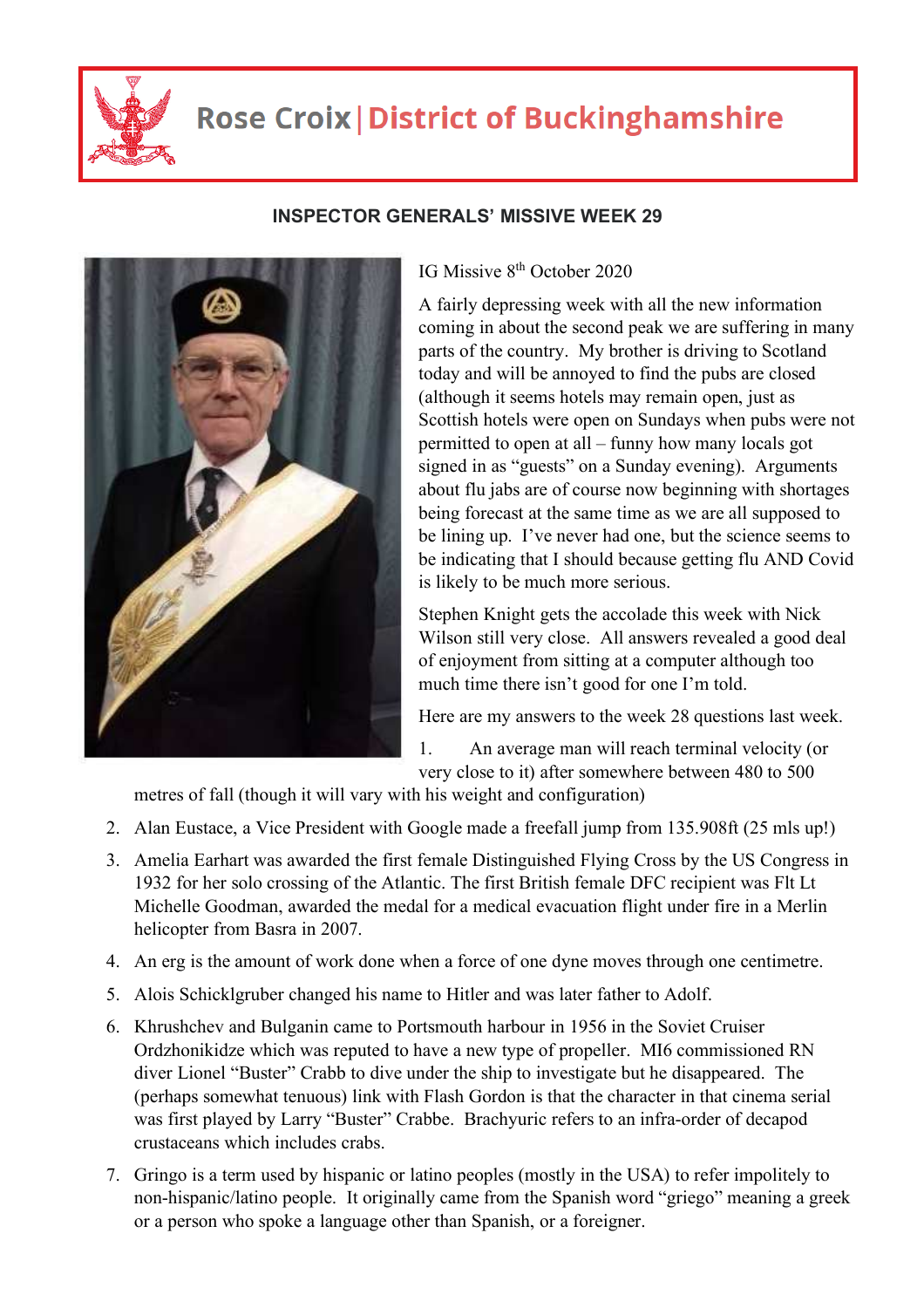

## **Rose Croix | District of Buckinghamshire**

## **INSPECTOR GENERALS' MISSIVE WEEK 29**

## IG Missive 8<sup>th</sup> October 2020

A fairly depressing week with all the new information coming in about the second peak we are suffering in many parts of the country. My brother is driving to Scotland today and will be annoyed to find the pubs are closed (although it seems hotels may remain open, just as Scottish hotels were open on Sundays when pubs were not permitted to open at all – funny how many locals got signed in as "guests" on a Sunday evening). Arguments about flu jabs are of course now beginning with shortages being forecast at the same time as we are all supposed to be lining up. I've never had one, but the science seems to be indicating that I should because getting flu AND Covid is likely to be much more serious.

Stephen Knight gets the accolade this week with Nick Wilson still very close. All answers revealed a good deal of enjoyment from sitting at a computer although too much time there isn't good for one I'm told.

Here are my answers to the week 28 questions last week.

1. An average man will reach terminal velocity (or very close to it) after somewhere between 480 to 500

metres of fall (though it will vary with his weight and configuration)

- 2. Alan Eustace, a Vice President with Google made a freefall jump from 135.908ft (25 mls up!)
- 3. Amelia Earhart was awarded the first female Distinguished Flying Cross by the US Congress in 1932 for her solo crossing of the Atlantic. The first British female DFC recipient was Flt Lt Michelle Goodman, awarded the medal for a medical evacuation flight under fire in a Merlin helicopter from Basra in 2007.
- 4. An erg is the amount of work done when a force of one dyne moves through one centimetre.
- 5. Alois Schicklgruber changed his name to Hitler and was later father to Adolf.
- 6. Khrushchev and Bulganin came to Portsmouth harbour in 1956 in the Soviet Cruiser Ordzhonikidze which was reputed to have a new type of propeller. MI6 commissioned RN diver Lionel "Buster" Crabb to dive under the ship to investigate but he disappeared. The (perhaps somewhat tenuous) link with Flash Gordon is that the character in that cinema serial was first played by Larry "Buster" Crabbe. Brachyuric refers to an infra-order of decapod crustaceans which includes crabs.
- 7. Gringo is a term used by hispanic or latino peoples (mostly in the USA) to refer impolitely to non-hispanic/latino people. It originally came from the Spanish word "griego" meaning a greek or a person who spoke a language other than Spanish, or a foreigner.